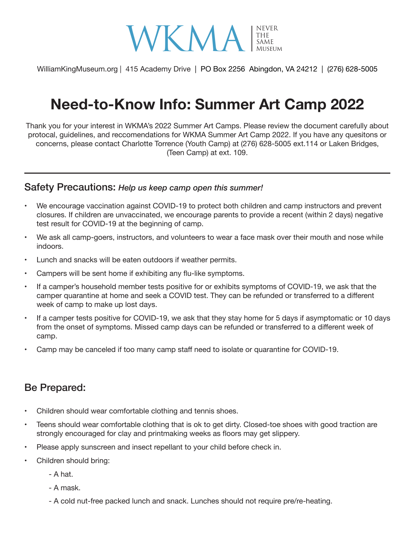

WilliamKingMuseum.org | 415 Academy Drive | PO Box 2256 Abingdon, VA 24212 | (276) 628-5005

# **Need-to-Know Info: Summer Art Camp 2022**

Thank you for your interest in WKMA's 2022 Summer Art Camps. Please review the document carefully about protocal, guidelines, and reccomendations for WKMA Summer Art Camp 2022. If you have any quesitons or concerns, please contact Charlotte Torrence (Youth Camp) at (276) 628-5005 ext.114 or Laken Bridges, (Teen Camp) at ext. 109.

#### Safety Precautions: *Help us keep camp open this summer!*

- • We encourage vaccination against COVID-19 to protect both children and camp instructors and prevent closures. If children are unvaccinated, we encourage parents to provide a recent (within 2 days) negative test result for COVID-19 at the beginning of camp.
- We ask all camp-goers, instructors, and volunteers to wear a face mask over their mouth and nose while indoors.
- Lunch and snacks will be eaten outdoors if weather permits.
- Campers will be sent home if exhibiting any flu-like symptoms.
- If a camper's household member tests positive for or exhibits symptoms of COVID-19, we ask that the camper quarantine at home and seek a COVID test. They can be refunded or transferred to a different week of camp to make up lost days.
- If a camper tests positive for COVID-19, we ask that they stay home for 5 days if asymptomatic or 10 days from the onset of symptoms. Missed camp days can be refunded or transferred to a different week of camp.
- Camp may be canceled if too many camp staff need to isolate or quarantine for COVID-19.

### Be Prepared:

- Children should wear comfortable clothing and tennis shoes.
- Teens should wear comfortable clothing that is ok to get dirty. Closed-toe shoes with good traction are strongly encouraged for clay and printmaking weeks as floors may get slippery.
- Please apply sunscreen and insect repellant to your child before check in.
- Children should bring:
	- A hat.
	- A mask.
	- A cold nut-free packed lunch and snack. Lunches should not require pre/re-heating.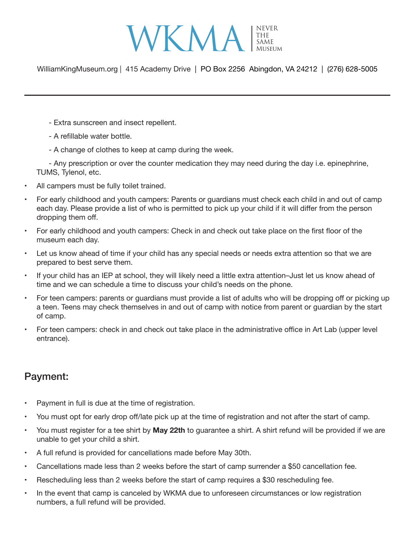

WilliamKingMuseum.org | 415 Academy Drive | PO Box 2256 Abingdon, VA 24212 | (276) 628-5005

- Extra sunscreen and insect repellent.
- A refillable water bottle.
- A change of clothes to keep at camp during the week.

- Any prescription or over the counter medication they may need during the day i.e. epinephrine, TUMS, Tylenol, etc.

- All campers must be fully toilet trained.
- For early childhood and youth campers: Parents or guardians must check each child in and out of camp each day. Please provide a list of who is permitted to pick up your child if it will differ from the person dropping them off.
- For early childhood and youth campers: Check in and check out take place on the first floor of the museum each day.
- Let us know ahead of time if your child has any special needs or needs extra attention so that we are prepared to best serve them.
- If your child has an IEP at school, they will likely need a little extra attention-Just let us know ahead of time and we can schedule a time to discuss your child's needs on the phone.
- For teen campers: parents or guardians must provide a list of adults who will be dropping off or picking up a teen. Teens may check themselves in and out of camp with notice from parent or guardian by the start of camp.
- For teen campers: check in and check out take place in the administrative office in Art Lab (upper level entrance).

## Payment:

- Payment in full is due at the time of registration.
- You must opt for early drop off/late pick up at the time of registration and not after the start of camp.
- • You must register for a tee shirt by **May 22th** to guarantee a shirt. A shirt refund will be provided if we are unable to get your child a shirt.
- • A full refund is provided for cancellations made before May 30th.
- Cancellations made less than 2 weeks before the start of camp surrender a \$50 cancellation fee.
- Rescheduling less than 2 weeks before the start of camp requires a \$30 rescheduling fee.
- In the event that camp is canceled by WKMA due to unforeseen circumstances or low registration numbers, a full refund will be provided.